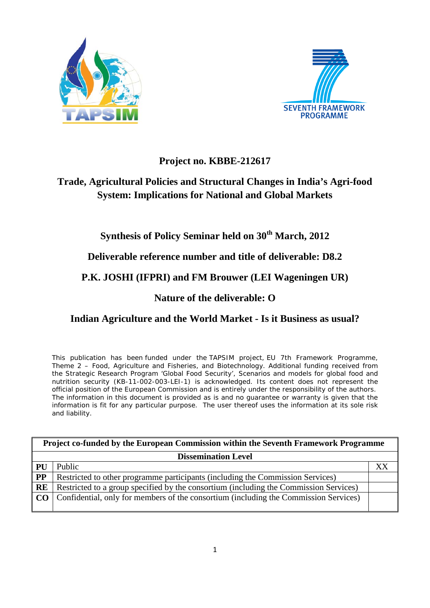



# **Project no. KBBE-212617**

# **Trade, Agricultural Policies and Structural Changes in India's Agri-food System: Implications for National and Global Markets**

# **Synthesis of Policy Seminar held on 30th March, 2012**

**Deliverable reference number and title of deliverable: D8.2**

# **P.K. JOSHI (IFPRI) and FM Brouwer (LEI Wageningen UR)**

# **Nature of the deliverable: O**

# **Indian Agriculture and the World Market - Is it Business as usual?**

This publication has been funded under the TAPSIM project, EU 7th Framework Programme, Theme 2 – Food, Agriculture and Fisheries, and Biotechnology. Additional funding received from the Strategic Research Program 'Global Food Security', Scenarios and models for global food and nutrition security (KB-11-002-003-LEI-1) is acknowledged. Its content does not represent the official position of the European Commission and is entirely under the responsibility of the authors. The information in this document is provided as is and no guarantee or warranty is given that the information is fit for any particular purpose. The user thereof uses the information at its sole risk and liability.

| Project co-funded by the European Commission within the Seventh Framework Programme |                                                                                                |    |  |  |  |
|-------------------------------------------------------------------------------------|------------------------------------------------------------------------------------------------|----|--|--|--|
| <b>Dissemination Level</b>                                                          |                                                                                                |    |  |  |  |
| PU                                                                                  | Public                                                                                         | XX |  |  |  |
| PP                                                                                  | Restricted to other programme participants (including the Commission Services)                 |    |  |  |  |
| RE                                                                                  | Restricted to a group specified by the consortium (including the Commission Services)          |    |  |  |  |
|                                                                                     | <b>CO</b> Confidential, only for members of the consortium (including the Commission Services) |    |  |  |  |
|                                                                                     |                                                                                                |    |  |  |  |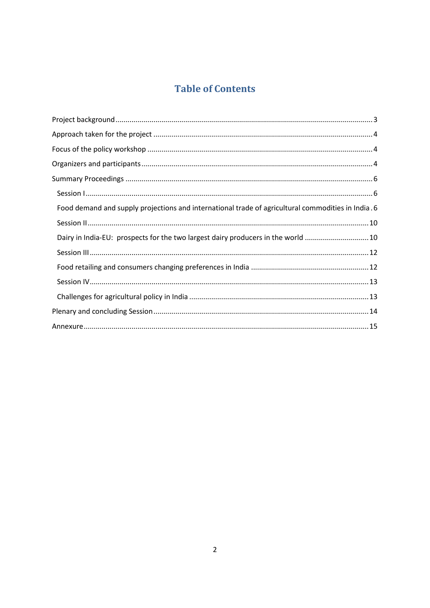# **Table of Contents**

| Food demand and supply projections and international trade of agricultural commodities in India. 6 |
|----------------------------------------------------------------------------------------------------|
|                                                                                                    |
| Dairy in India-EU: prospects for the two largest dairy producers in the world  10                  |
|                                                                                                    |
|                                                                                                    |
|                                                                                                    |
|                                                                                                    |
|                                                                                                    |
|                                                                                                    |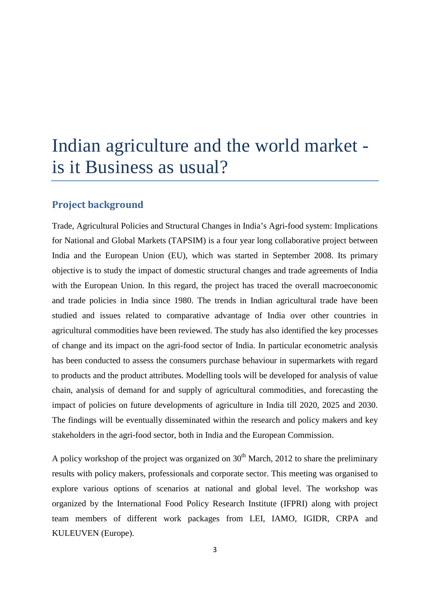# Indian agriculture and the world market is it Business as usual?

# <span id="page-2-0"></span>**Project background**

Trade, Agricultural Policies and Structural Changes in India's Agri-food system: Implications for National and Global Markets (TAPSIM) is a four year long collaborative project between India and the European Union (EU), which was started in September 2008. Its primary objective is to study the impact of domestic structural changes and trade agreements of India with the European Union. In this regard, the project has traced the overall macroeconomic and trade policies in India since 1980. The trends in Indian agricultural trade have been studied and issues related to comparative advantage of India over other countries in agricultural commodities have been reviewed. The study has also identified the key processes of change and its impact on the agri-food sector of India. In particular econometric analysis has been conducted to assess the consumers purchase behaviour in supermarkets with regard to products and the product attributes. Modelling tools will be developed for analysis of value chain, analysis of demand for and supply of agricultural commodities, and forecasting the impact of policies on future developments of agriculture in India till 2020, 2025 and 2030. The findings will be eventually disseminated within the research and policy makers and key stakeholders in the agri-food sector, both in India and the European Commission.

A policy workshop of the project was organized on  $30<sup>th</sup>$  March, 2012 to share the preliminary results with policy makers, professionals and corporate sector. This meeting was organised to explore various options of scenarios at national and global level. The workshop was organized by the International Food Policy Research Institute (IFPRI) along with project team members of different work packages from LEI, IAMO, IGIDR, CRPA and KULEUVEN (Europe).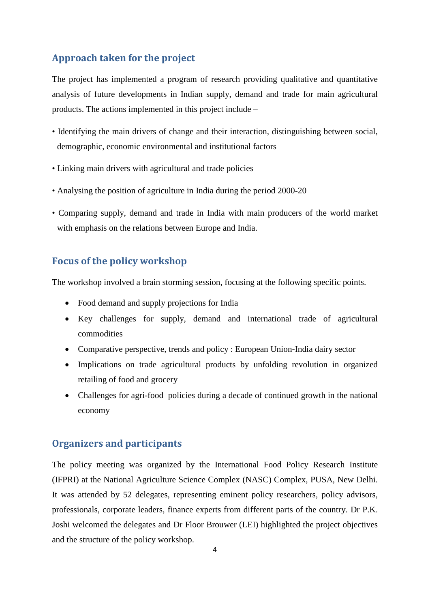# <span id="page-3-0"></span>**Approach taken for the project**

The project has implemented a program of research providing qualitative and quantitative analysis of future developments in Indian supply, demand and trade for main agricultural products. The actions implemented in this project include –

- Identifying the main drivers of change and their interaction, distinguishing between social, demographic, economic environmental and institutional factors
- Linking main drivers with agricultural and trade policies
- Analysing the position of agriculture in India during the period 2000-20
- Comparing supply, demand and trade in India with main producers of the world market with emphasis on the relations between Europe and India.

## <span id="page-3-1"></span>**Focus of the policy workshop**

The workshop involved a brain storming session, focusing at the following specific points.

- Food demand and supply projections for India
- Key challenges for supply, demand and international trade of agricultural commodities
- Comparative perspective, trends and policy : European Union-India dairy sector
- Implications on trade agricultural products by unfolding revolution in organized retailing of food and grocery
- Challenges for agri-food policies during a decade of continued growth in the national economy

## <span id="page-3-2"></span>**Organizers and participants**

The policy meeting was organized by the International Food Policy Research Institute (IFPRI) at the National Agriculture Science Complex (NASC) Complex, PUSA, New Delhi. It was attended by 52 delegates, representing eminent policy researchers, policy advisors, professionals, corporate leaders, finance experts from different parts of the country. Dr P.K. Joshi welcomed the delegates and Dr Floor Brouwer (LEI) highlighted the project objectives and the structure of the policy workshop.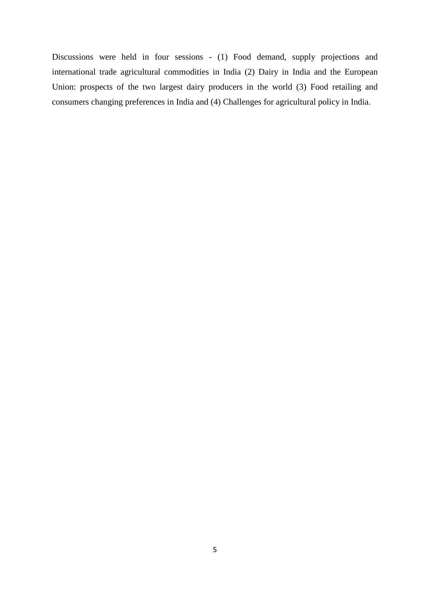Discussions were held in four sessions - (1) Food demand, supply projections and international trade agricultural commodities in India (2) Dairy in India and the European Union: prospects of the two largest dairy producers in the world (3) Food retailing and consumers changing preferences in India and (4) Challenges for agricultural policy in India.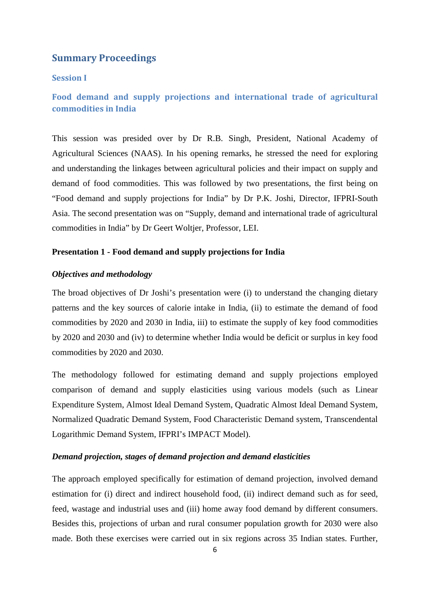## <span id="page-5-0"></span>**Summary Proceedings**

#### <span id="page-5-1"></span>**Session I**

## <span id="page-5-2"></span>**Food demand and supply projections and international trade of agricultural commodities in India**

This session was presided over by Dr R.B. Singh, President, National Academy of Agricultural Sciences (NAAS). In his opening remarks, he stressed the need for exploring and understanding the linkages between agricultural policies and their impact on supply and demand of food commodities. This was followed by two presentations, the first being on "Food demand and supply projections for India" by Dr P.K. Joshi, Director, IFPRI-South Asia. The second presentation was on "Supply, demand and international trade of agricultural commodities in India" by Dr Geert Woltjer, Professor, LEI.

## **Presentation 1 - Food demand and supply projections for India**

## *Objectives and methodology*

The broad objectives of Dr Joshi's presentation were (i) to understand the changing dietary patterns and the key sources of calorie intake in India, (ii) to estimate the demand of food commodities by 2020 and 2030 in India, iii) to estimate the supply of key food commodities by 2020 and 2030 and (iv) to determine whether India would be deficit or surplus in key food commodities by 2020 and 2030.

The methodology followed for estimating demand and supply projections employed comparison of demand and supply elasticities using various models (such as Linear Expenditure System, Almost Ideal Demand System, Quadratic Almost Ideal Demand System, Normalized Quadratic Demand System, Food Characteristic Demand system, Transcendental Logarithmic Demand System, IFPRI's IMPACT Model).

## *Demand projection, stages of demand projection and demand elasticities*

The approach employed specifically for estimation of demand projection, involved demand estimation for (i) direct and indirect household food, (ii) indirect demand such as for seed, feed, wastage and industrial uses and (iii) home away food demand by different consumers. Besides this, projections of urban and rural consumer population growth for 2030 were also made. Both these exercises were carried out in six regions across 35 Indian states. Further,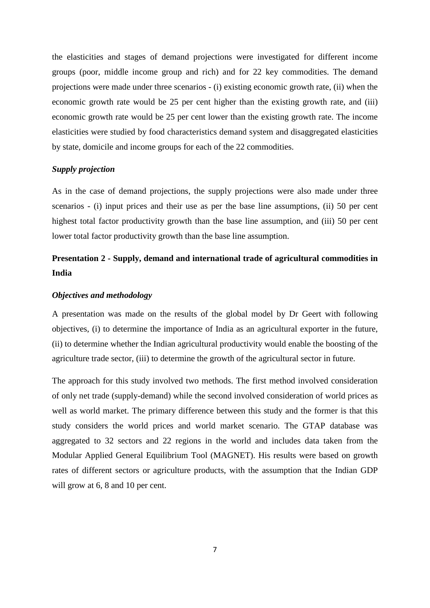the elasticities and stages of demand projections were investigated for different income groups (poor, middle income group and rich) and for 22 key commodities. The demand projections were made under three scenarios - (i) existing economic growth rate, (ii) when the economic growth rate would be 25 per cent higher than the existing growth rate, and (iii) economic growth rate would be 25 per cent lower than the existing growth rate. The income elasticities were studied by food characteristics demand system and disaggregated elasticities by state, domicile and income groups for each of the 22 commodities.

## *Supply projection*

As in the case of demand projections, the supply projections were also made under three scenarios - (i) input prices and their use as per the base line assumptions, (ii) 50 per cent highest total factor productivity growth than the base line assumption, and (iii) 50 per cent lower total factor productivity growth than the base line assumption.

# **Presentation 2 - Supply, demand and international trade of agricultural commodities in India**

## *Objectives and methodology*

A presentation was made on the results of the global model by Dr Geert with following objectives, (i) to determine the importance of India as an agricultural exporter in the future, (ii) to determine whether the Indian agricultural productivity would enable the boosting of the agriculture trade sector, (iii) to determine the growth of the agricultural sector in future.

The approach for this study involved two methods. The first method involved consideration of only net trade (supply-demand) while the second involved consideration of world prices as well as world market. The primary difference between this study and the former is that this study considers the world prices and world market scenario. The GTAP database was aggregated to 32 sectors and 22 regions in the world and includes data taken from the Modular Applied General Equilibrium Tool (MAGNET). His results were based on growth rates of different sectors or agriculture products, with the assumption that the Indian GDP will grow at 6, 8 and 10 per cent.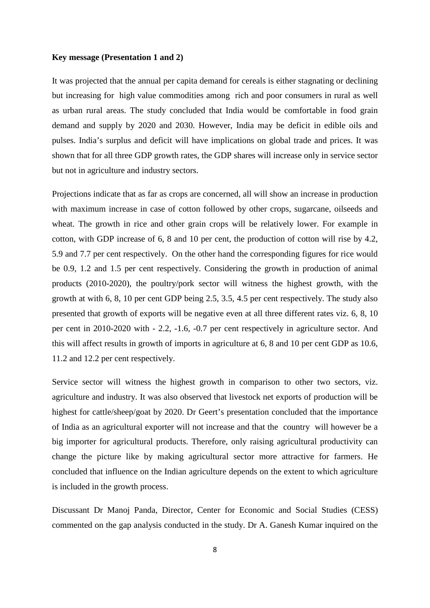#### **Key message (Presentation 1 and 2)**

It was projected that the annual per capita demand for cereals is either stagnating or declining but increasing for high value commodities among rich and poor consumers in rural as well as urban rural areas. The study concluded that India would be comfortable in food grain demand and supply by 2020 and 2030. However, India may be deficit in edible oils and pulses. India's surplus and deficit will have implications on global trade and prices. It was shown that for all three GDP growth rates, the GDP shares will increase only in service sector but not in agriculture and industry sectors.

Projections indicate that as far as crops are concerned, all will show an increase in production with maximum increase in case of cotton followed by other crops, sugarcane, oilseeds and wheat. The growth in rice and other grain crops will be relatively lower. For example in cotton, with GDP increase of 6, 8 and 10 per cent, the production of cotton will rise by 4.2, 5.9 and 7.7 per cent respectively. On the other hand the corresponding figures for rice would be 0.9, 1.2 and 1.5 per cent respectively. Considering the growth in production of animal products (2010-2020), the poultry/pork sector will witness the highest growth, with the growth at with 6, 8, 10 per cent GDP being 2.5, 3.5, 4.5 per cent respectively. The study also presented that growth of exports will be negative even at all three different rates viz. 6, 8, 10 per cent in 2010-2020 with - 2.2, -1.6, -0.7 per cent respectively in agriculture sector. And this will affect results in growth of imports in agriculture at 6, 8 and 10 per cent GDP as 10.6, 11.2 and 12.2 per cent respectively.

Service sector will witness the highest growth in comparison to other two sectors, viz. agriculture and industry. It was also observed that livestock net exports of production will be highest for cattle/sheep/goat by 2020. Dr Geert's presentation concluded that the importance of India as an agricultural exporter will not increase and that the country will however be a big importer for agricultural products. Therefore, only raising agricultural productivity can change the picture like by making agricultural sector more attractive for farmers. He concluded that influence on the Indian agriculture depends on the extent to which agriculture is included in the growth process.

Discussant Dr Manoj Panda, Director, Center for Economic and Social Studies (CESS) commented on the gap analysis conducted in the study. Dr A. Ganesh Kumar inquired on the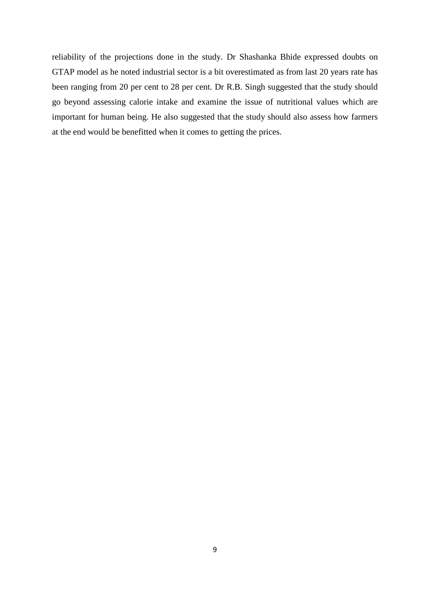reliability of the projections done in the study. Dr Shashanka Bhide expressed doubts on GTAP model as he noted industrial sector is a bit overestimated as from last 20 years rate has been ranging from 20 per cent to 28 per cent. Dr R.B. Singh suggested that the study should go beyond assessing calorie intake and examine the issue of nutritional values which are important for human being. He also suggested that the study should also assess how farmers at the end would be benefitted when it comes to getting the prices.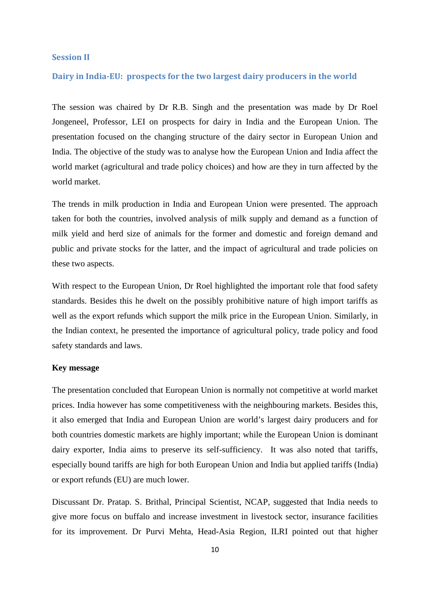#### <span id="page-9-0"></span>**Session II**

## <span id="page-9-1"></span>**Dairy in India-EU: prospects for the two largest dairy producers in the world**

The session was chaired by Dr R.B. Singh and the presentation was made by Dr Roel Jongeneel, Professor, LEI on prospects for dairy in India and the European Union. The presentation focused on the changing structure of the dairy sector in European Union and India. The objective of the study was to analyse how the European Union and India affect the world market (agricultural and trade policy choices) and how are they in turn affected by the world market.

The trends in milk production in India and European Union were presented. The approach taken for both the countries, involved analysis of milk supply and demand as a function of milk yield and herd size of animals for the former and domestic and foreign demand and public and private stocks for the latter, and the impact of agricultural and trade policies on these two aspects.

With respect to the European Union, Dr Roel highlighted the important role that food safety standards. Besides this he dwelt on the possibly prohibitive nature of high import tariffs as well as the export refunds which support the milk price in the European Union. Similarly, in the Indian context, he presented the importance of agricultural policy, trade policy and food safety standards and laws.

#### **Key message**

The presentation concluded that European Union is normally not competitive at world market prices. India however has some competitiveness with the neighbouring markets. Besides this, it also emerged that India and European Union are world's largest dairy producers and for both countries domestic markets are highly important; while the European Union is dominant dairy exporter, India aims to preserve its self-sufficiency. It was also noted that tariffs, especially bound tariffs are high for both European Union and India but applied tariffs (India) or export refunds (EU) are much lower.

Discussant Dr. Pratap. S. Brithal, Principal Scientist, NCAP, suggested that India needs to give more focus on buffalo and increase investment in livestock sector, insurance facilities for its improvement. Dr Purvi Mehta, Head-Asia Region, ILRI pointed out that higher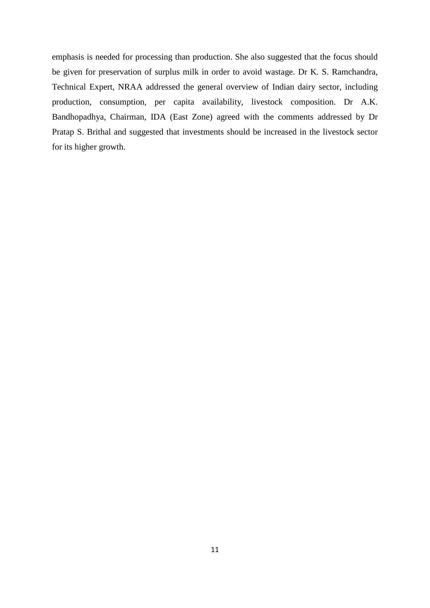emphasis is needed for processing than production. She also suggested that the focus should be given for preservation of surplus milk in order to avoid wastage. Dr K. S. Ramchandra, Technical Expert, NRAA addressed the general overview of Indian dairy sector, including production, consumption, per capita availability, livestock composition. Dr A.K. Bandhopadhya, Chairman, IDA (East Zone) agreed with the comments addressed by Dr Pratap S. Brithal and suggested that investments should be increased in the livestock sector for its higher growth.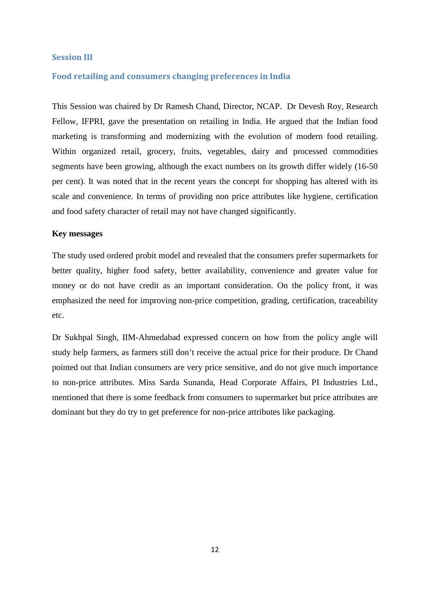## <span id="page-11-0"></span>**Session III**

## <span id="page-11-1"></span>**Food retailing and consumers changing preferences in India**

This Session was chaired by Dr Ramesh Chand, Director, NCAP. Dr Devesh Roy, Research Fellow, IFPRI, gave the presentation on retailing in India. He argued that the Indian food marketing is transforming and modernizing with the evolution of modern food retailing. Within organized retail, grocery, fruits, vegetables, dairy and processed commodities segments have been growing, although the exact numbers on its growth differ widely (16-50 per cent). It was noted that in the recent years the concept for shopping has altered with its scale and convenience. In terms of providing non price attributes like hygiene, certification and food safety character of retail may not have changed significantly.

### **Key messages**

The study used ordered probit model and revealed that the consumers prefer supermarkets for better quality, higher food safety, better availability, convenience and greater value for money or do not have credit as an important consideration. On the policy front, it was emphasized the need for improving non-price competition, grading, certification, traceability etc.

Dr Sukhpal Singh, IIM-Ahmedabad expressed concern on how from the policy angle will study help farmers, as farmers still don't receive the actual price for their produce. Dr Chand pointed out that Indian consumers are very price sensitive, and do not give much importance to non-price attributes. Miss Sarda Sunanda, Head Corporate Affairs, PI Industries Ltd., mentioned that there is some feedback from consumers to supermarket but price attributes are dominant but they do try to get preference for non-price attributes like packaging.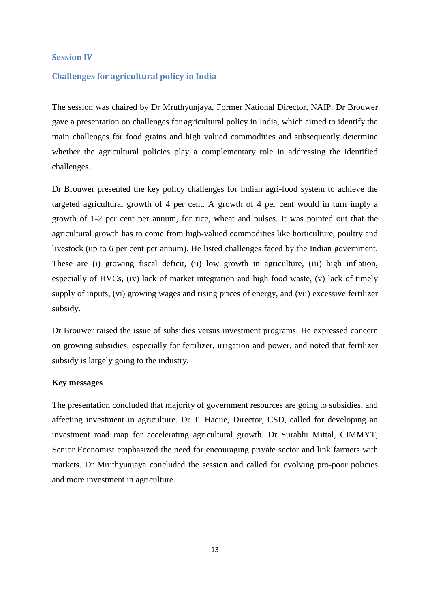## <span id="page-12-0"></span>**Session IV**

## <span id="page-12-1"></span>**Challenges for agricultural policy in India**

The session was chaired by Dr Mruthyunjaya, Former National Director, NAIP. Dr Brouwer gave a presentation on challenges for agricultural policy in India, which aimed to identify the main challenges for food grains and high valued commodities and subsequently determine whether the agricultural policies play a complementary role in addressing the identified challenges.

Dr Brouwer presented the key policy challenges for Indian agri-food system to achieve the targeted agricultural growth of 4 per cent. A growth of 4 per cent would in turn imply a growth of 1-2 per cent per annum, for rice, wheat and pulses. It was pointed out that the agricultural growth has to come from high-valued commodities like horticulture, poultry and livestock (up to 6 per cent per annum). He listed challenges faced by the Indian government. These are (i) growing fiscal deficit, (ii) low growth in agriculture, (iii) high inflation, especially of HVCs, (iv) lack of market integration and high food waste, (v) lack of timely supply of inputs, (vi) growing wages and rising prices of energy, and (vii) excessive fertilizer subsidy.

Dr Brouwer raised the issue of subsidies versus investment programs. He expressed concern on growing subsidies, especially for fertilizer, irrigation and power, and noted that fertilizer subsidy is largely going to the industry.

## **Key messages**

The presentation concluded that majority of government resources are going to subsidies, and affecting investment in agriculture. Dr T. Haque, Director, CSD, called for developing an investment road map for accelerating agricultural growth. Dr Surabhi Mittal, CIMMYT, Senior Economist emphasized the need for encouraging private sector and link farmers with markets. Dr Mruthyunjaya concluded the session and called for evolving pro-poor policies and more investment in agriculture.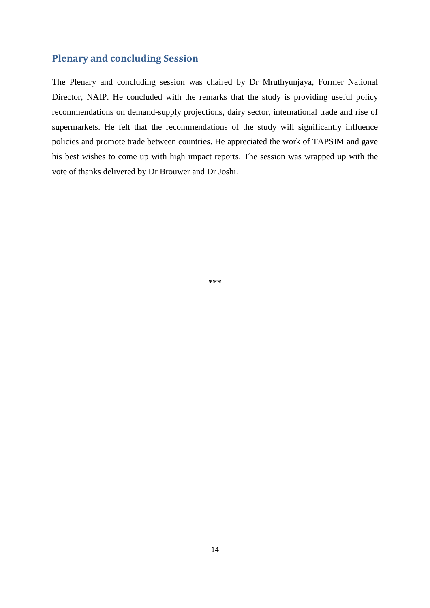# <span id="page-13-0"></span>**Plenary and concluding Session**

The Plenary and concluding session was chaired by Dr Mruthyunjaya, Former National Director, NAIP. He concluded with the remarks that the study is providing useful policy recommendations on demand-supply projections, dairy sector, international trade and rise of supermarkets. He felt that the recommendations of the study will significantly influence policies and promote trade between countries. He appreciated the work of TAPSIM and gave his best wishes to come up with high impact reports. The session was wrapped up with the vote of thanks delivered by Dr Brouwer and Dr Joshi.

\*\*\*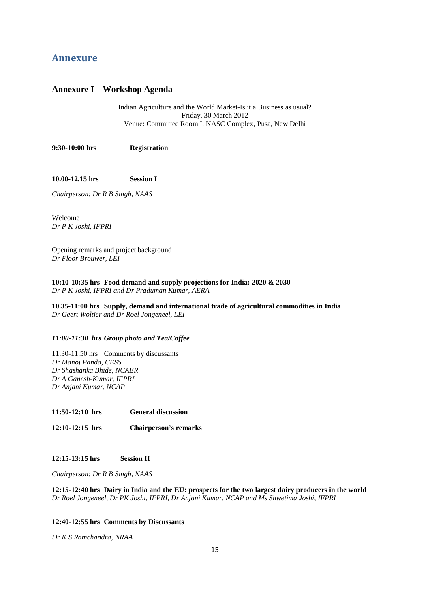## <span id="page-14-0"></span>**Annexure**

#### **Annexure I – Workshop Agenda**

Indian Agriculture and the World Market-Is it a Business as usual? Friday, 30 March 2012 Venue: Committee Room I, NASC Complex, Pusa, New Delhi

**9:30-10:00 hrs Registration** 

**10.00-12.15 hrs Session I** 

*Chairperson: Dr R B Singh, NAAS*

Welcome *Dr P K Joshi, IFPRI* 

Opening remarks and project background *Dr Floor Brouwer, LEI*

**10:10-10:35 hrs Food demand and supply projections for India: 2020 & 2030** *Dr P K Joshi, IFPRI and Dr Praduman Kumar, AERA*

**10.35-11:00 hrs Supply, demand and international trade of agricultural commodities in India**  *Dr Geert Woltjer and Dr Roel Jongeneel, LEI* 

#### *11:00-11:30 hrs Group photo and Tea/Coffee*

11:30-11:50 hrs Comments by discussants *Dr Manoj Panda, CESS Dr Shashanka Bhide, NCAER Dr A Ganesh-Kumar, IFPRI Dr Anjani Kumar, NCAP*

**11:50-12:10 hrs General discussion**

**12:10-12:15 hrs Chairperson's remarks**

**12:15-13:15 hrs Session II**

*Chairperson: Dr R B Singh, NAAS*

**12:15-12:40 hrs Dairy in India and the EU: prospects for the two largest dairy producers in the world** *Dr Roel Jongeneel, Dr PK Joshi, IFPRI, Dr Anjani Kumar, NCAP and Ms Shwetima Joshi, IFPRI*

#### **12:40-12:55 hrs Comments by Discussants**

*Dr K S Ramchandra, NRAA*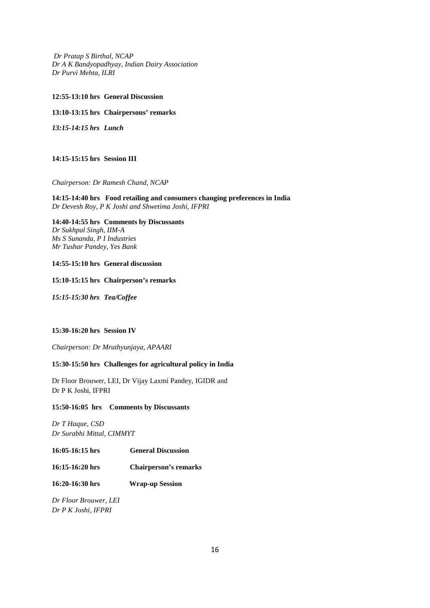*Dr Pratap S Birthal, NCAP Dr A K Bandyopadhyay, Indian Dairy Association Dr Purvi Mehta, ILRI*

#### **12:55-13:10 hrs General Discussion**

#### **13:10-13:15 hrs Chairpersons' remarks**

*13:15-14:15 hrs Lunch*

#### **14:15-15:15 hrs Session III**

#### *Chairperson: Dr Ramesh Chand, NCAP*

**14:15-14:40 hrs Food retailing and consumers changing preferences in India** *Dr Devesh Roy, P K Joshi and Shwetima Joshi, IFPRI*

#### **14:40-14:55 hrs Comments by Discussants**

*Dr Sukhpal Singh, IIM-A Ms S Sunanda, P I Industries Mr Tushar Pandey, Yes Bank*

#### **14:55-15:10 hrs General discussion**

#### **15:10-15:15 hrs Chairperson's remarks**

*15:15-15:30 hrs Tea/Coffee*

#### **15:30-16:20 hrs Session IV**

*Chairperson: Dr Mruthyunjaya, APAARI*

#### **15:30-15:50 hrs Challenges for agricultural policy in India**

Dr Floor Brouwer, LEI, Dr Vijay Laxmi Pandey, IGIDR and Dr P K Joshi, IFPRI

#### **15:50-16:05 hrs Comments by Discussants**

*Dr T Haque, CSD Dr Surabhi Mittal, CIMMYT*

#### **16:05-16:15 hrs General Discussion**

- **16:15-16:20 hrs Chairperson's remarks**
- **16:20-16:30 hrs Wrap-up Session**

*Dr Floor Brouwer, LEI Dr P K Joshi, IFPRI*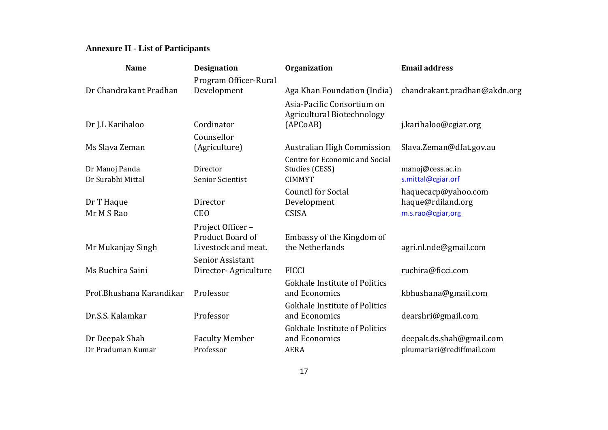# **Annexure II - List of Participants**

| <b>Name</b>              | <b>Designation</b>                                           | Organization                                                    | <b>Email address</b>                     |
|--------------------------|--------------------------------------------------------------|-----------------------------------------------------------------|------------------------------------------|
|                          | Program Officer-Rural                                        |                                                                 |                                          |
| Dr Chandrakant Pradhan   | Development                                                  | Aga Khan Foundation (India)                                     | chandrakant.pradhan@akdn.org             |
|                          |                                                              | Asia-Pacific Consortium on<br><b>Agricultural Biotechnology</b> |                                          |
| Dr J.L Karihaloo         | Cordinator                                                   | (APCoAB)                                                        | j.karihaloo@cgiar.org                    |
|                          | Counsellor                                                   |                                                                 |                                          |
| Ms Slava Zeman           | (Agriculture)                                                | <b>Australian High Commission</b>                               | Slava.Zeman@dfat.gov.au                  |
| Dr Manoj Panda           | Director                                                     | Centre for Economic and Social<br>Studies (CESS)                | manoj@cess.ac.in                         |
| Dr Surabhi Mittal        | Senior Scientist                                             | <b>CIMMYT</b>                                                   | s.mittal@cgiar.orf                       |
| Dr T Haque               | Director                                                     | <b>Council for Social</b><br>Development                        | haquecacp@yahoo.com<br>haque@rdiland.org |
| Mr M S Rao               | <b>CEO</b>                                                   | <b>CSISA</b>                                                    | m.s.rao@cgiar,org                        |
| Mr Mukanjay Singh        | Project Officer -<br>Product Board of<br>Livestock and meat. | Embassy of the Kingdom of<br>the Netherlands                    | agri.nl.nde@gmail.com                    |
|                          | Senior Assistant                                             |                                                                 |                                          |
| Ms Ruchira Saini         | Director-Agriculture                                         | <b>FICCI</b>                                                    | ruchira@ficci.com                        |
| Prof.Bhushana Karandikar | Professor                                                    | <b>Gokhale Institute of Politics</b><br>and Economics           | kbhushana@gmail.com                      |
| Dr.S.S. Kalamkar         | Professor                                                    | <b>Gokhale Institute of Politics</b><br>and Economics           | dearshri@gmail.com                       |
|                          |                                                              | <b>Gokhale Institute of Politics</b>                            |                                          |
| Dr Deepak Shah           | <b>Faculty Member</b>                                        | and Economics                                                   | deepak.ds.shah@gmail.com                 |
| Dr Praduman Kumar        | Professor                                                    | <b>AERA</b>                                                     | pkumariari@rediffmail.com                |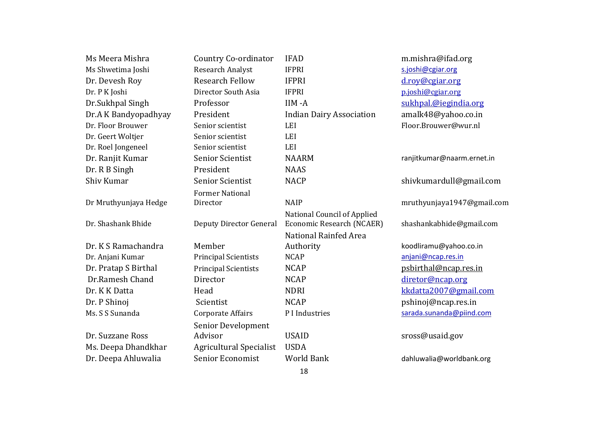| Ms Meera Mishra       | Country Co-ordinator           | <b>IFAD</b>                                              | m.mishra@ifad.org          |
|-----------------------|--------------------------------|----------------------------------------------------------|----------------------------|
| Ms Shwetima Joshi     | <b>Research Analyst</b>        | <b>IFPRI</b>                                             | s.joshi@cgiar.org          |
| Dr. Devesh Roy        | <b>Research Fellow</b>         | <b>IFPRI</b>                                             | d.roy@cgiar.org            |
| Dr. P K Joshi         | Director South Asia            | <b>IFPRI</b>                                             | p.joshi@cgiar.org          |
| Dr.Sukhpal Singh      | Professor                      | IIM-A                                                    | sukhpal.@iegindia.org      |
| Dr.A K Bandyopadhyay  | President                      | <b>Indian Dairy Association</b>                          | amalk48@yahoo.co.in        |
| Dr. Floor Brouwer     | Senior scientist               | <b>LEI</b>                                               | Floor.Brouwer@wur.nl       |
| Dr. Geert Woltjer     | Senior scientist               | <b>LEI</b>                                               |                            |
| Dr. Roel Jongeneel    | Senior scientist               | <b>LEI</b>                                               |                            |
| Dr. Ranjit Kumar      | <b>Senior Scientist</b>        | <b>NAARM</b>                                             | ranjitkumar@naarm.ernet.in |
| Dr. R B Singh         | President                      | <b>NAAS</b>                                              |                            |
| Shiv Kumar            | <b>Senior Scientist</b>        | <b>NACP</b>                                              | shivkumardull@gmail.com    |
|                       | <b>Former National</b>         |                                                          |                            |
| Dr Mruthyunjaya Hedge | Director                       | <b>NAIP</b>                                              | mruthyunjaya1947@gmail.com |
| Dr. Shashank Bhide    | Deputy Director General        | National Council of Applied<br>Economic Research (NCAER) | shashankabhide@gmail.com   |
|                       |                                | National Rainfed Area                                    |                            |
| Dr. K S Ramachandra   | Member                         | Authority                                                | koodliramu@yahoo.co.in     |
| Dr. Anjani Kumar      | <b>Principal Scientists</b>    | <b>NCAP</b>                                              | anjani@ncap.res.in         |
| Dr. Pratap S Birthal  | <b>Principal Scientists</b>    | <b>NCAP</b>                                              | psbirthal@ncap.res.in      |
| Dr.Ramesh Chand       | Director                       | <b>NCAP</b>                                              | diretor@ncap.org           |
| Dr. K K Datta         | Head                           | <b>NDRI</b>                                              | kkdatta2007@gmail.com      |
| Dr. P Shinoj          | Scientist                      | <b>NCAP</b>                                              | pshinoj@ncap.res.in        |
| Ms. S S Sunanda       | Corporate Affairs              | P I Industries                                           | sarada.sunanda@piind.com   |
|                       | Senior Development             |                                                          |                            |
| Dr. Suzzane Ross      | Advisor                        | <b>USAID</b>                                             | sross@usaid.gov            |
| Ms. Deepa Dhandkhar   | <b>Agricultural Specialist</b> | <b>USDA</b>                                              |                            |
| Dr. Deepa Ahluwalia   | Senior Economist               | <b>World Bank</b>                                        | dahluwalia@worldbank.org   |
|                       |                                |                                                          |                            |